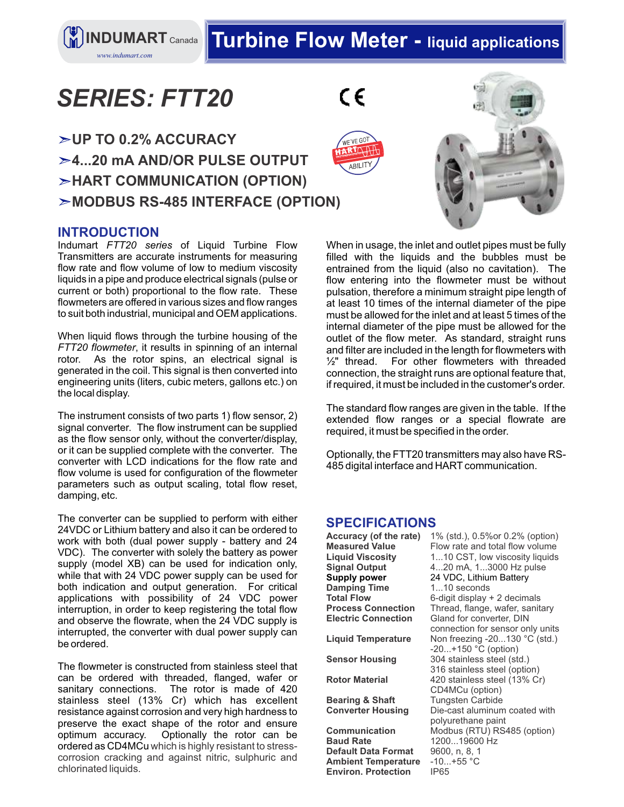**INDUMART** Canada Turbine Flow Meter - liquid applications

# *SERIES: FTT20*

*www.indumart.com*

 $\epsilon$ 





### **INTRODUCTION**

Indumart *FTT20 series* of Liquid Turbine Flow Transmitters are accurate instruments for measuring flow rate and flow volume of low to medium viscosity liquids in a pipe and produce electrical signals (pulse or current or both) proportional to the flow rate. These flowmeters are offered in various sizes and flow ranges to suit both industrial, municipal and OEM applications.

When liquid flows through the turbine housing of the *FTT20 flowmeter*, it results in spinning of an internal rotor. As the rotor spins, an electrical signal is generated in the coil. This signal is then converted into engineering units (liters, cubic meters, gallons etc.) on the local display.

The instrument consists of two parts 1) flow sensor, 2) signal converter. The flow instrument can be supplied as the flow sensor only, without the converter/display, or it can be supplied complete with the converter. The converter with LCD indications for the flow rate and flow volume is used for configuration of the flowmeter parameters such as output scaling, total flow reset, damping, etc.

The converter can be supplied to perform with either 24VDC or Lithium battery and also it can be ordered to work with both (dual power supply - battery and 24 VDC). The converter with solely the battery as power supply (model XB) can be used for indication only, while that with 24 VDC power supply can be used for both indication and output generation. For critical applications with possibility of 24 VDC power interruption, in order to keep registering the total flow and observe the flowrate, when the 24 VDC supply is interrupted, the converter with dual power supply can be ordered.

The flowmeter is constructed from stainless steel that can be ordered with threaded, flanged, wafer or sanitary connections. The rotor is made of 420 stainless steel (13% Cr) which has excellent resistance against corrosion and very high hardness to preserve the exact shape of the rotor and ensure<br>optimum accuracy. Optionally the rotor can be Optionally the rotor can be ordered as CD4MCu which is highly resistant to stresscorrosion cracking and against nitric, sulphuric and chlorinated liquids.

When in usage, the inlet and outlet pipes must be fully filled with the liquids and the bubbles must be entrained from the liquid (also no cavitation). The flow entering into the flowmeter must be without pulsation, therefore a minimum straight pipe length of at least 10 times of the internal diameter of the pipe must be allowed for the inlet and at least 5 times of the internal diameter of the pipe must be allowed for the outlet of the flow meter. As standard, straight runs and filter are included in the length for flowmeters with ½" thread. For other flowmeters with threaded connection, the straight runs are optional feature that, if required, it must be included in the customer's order.

The standard flow ranges are given in the table. If the extended flow ranges or a special flowrate are required, it must be specified in the order.

Optionally, the FTT20 transmitters may also have RS-485 digital interface and HART communication.

#### **SPECIFICATIONS**

**Accuracy (of the rate)** 1% (std.), 0.5%or 0.2% (option)<br>**Measured Value** Flow rate and total flow volume **Measured Value** Flow rate and total flow volume<br>**Liquid Viscosity** 1...10 CST, low viscosity liquids **Liquid Viscosity** 1...10 CST, low viscosity liquids **Signal Output** 4...20 mA, 1...3000 Hz pulse **Supply power** 24 VDC, Lithium Battery **Damping Time** 1...10 seconds **Total Flow** 6-digit display + 2 decimals<br>**Process Connection** Thread, flange, wafer, sanit Thread, flange, wafer, sanitary **Electric Connection** Gland for converter, DIN connection for sensor only units **Liquid Temperature** Non freezing -20...130 °C (std.) -20...+150 °C (option) **Sensor Housing** 304 stainless steel (std.) 316 stainless steel (option) **Rotor Material** 420 stainless steel (13% Cr) CD4MCu (option) **Bearing & Shaft** Tungsten Carbide<br>**Converter Housing** Die-cast aluminum Die-cast aluminum coated with polyurethane paint **Communication** Modbus (RTU) RS485 (option)<br>**Baud Rate** 1200...19600 Hz **Baud Rate** 1200...19600 Hz **Default Data Format** 9600, n, 8, 1<br>**Ambient Temperature** -10...+55 °C **Ambient Temperature** -10...<br> **Environ. Protection** IP65 **Environ. Protection**